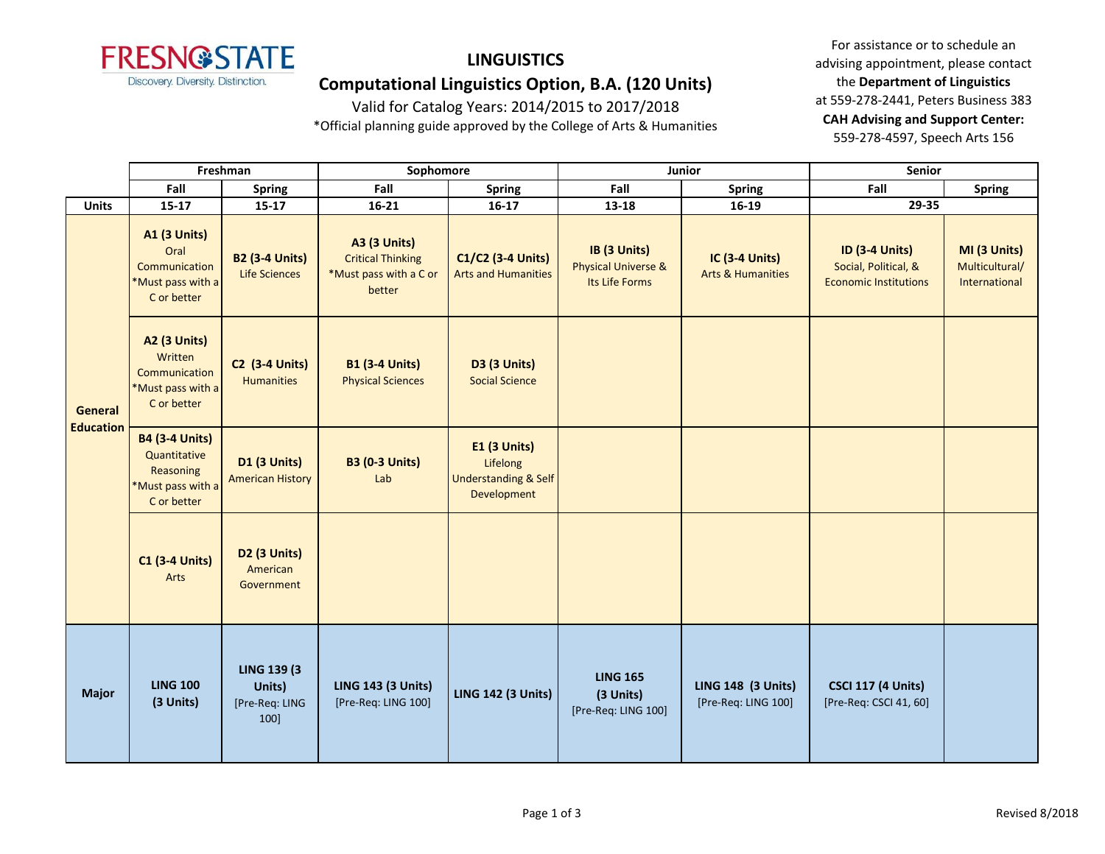

# **LINGUISTICS**

## **Computational Linguistics Option, B.A. (120 Units)**

Valid for Catalog Years: 2014/2015 to 2017/2018

\*Official planning guide approved by the College of Arts & Humanities

For assistance or to schedule an advising appointment, please contact the **Department of Linguistics** at 559-278-2441, Peters Business 383 **CAH Advising and Support Center:**  559-278-4597, Speech Arts 156

|                             | Freshman                                                                               |                                                         | Sophomore                                                                           |                                                                            | Junior                                                           |                                                       | <b>Senior</b>                                                                 |                                                 |
|-----------------------------|----------------------------------------------------------------------------------------|---------------------------------------------------------|-------------------------------------------------------------------------------------|----------------------------------------------------------------------------|------------------------------------------------------------------|-------------------------------------------------------|-------------------------------------------------------------------------------|-------------------------------------------------|
|                             | Fall                                                                                   | <b>Spring</b>                                           | Fall                                                                                | Spring                                                                     | Fall                                                             | <b>Spring</b>                                         | Fall                                                                          | <b>Spring</b>                                   |
| <b>Units</b>                | $15 - 17$                                                                              | $15 - 17$                                               | $16 - 21$                                                                           | $16-17$                                                                    | 13-18                                                            | 16-19                                                 | 29-35                                                                         |                                                 |
| General<br><b>Education</b> | <b>A1 (3 Units)</b><br>Oral<br>Communication<br>*Must pass with a<br>C or better       | <b>B2 (3-4 Units)</b><br>Life Sciences                  | <b>A3 (3 Units)</b><br><b>Critical Thinking</b><br>*Must pass with a C or<br>better | C1/C2 (3-4 Units)<br><b>Arts and Humanities</b>                            | IB (3 Units)<br><b>Physical Universe &amp;</b><br>Its Life Forms | <b>IC (3-4 Units)</b><br><b>Arts &amp; Humanities</b> | <b>ID (3-4 Units)</b><br>Social, Political, &<br><b>Economic Institutions</b> | MI (3 Units)<br>Multicultural/<br>International |
|                             | A2 (3 Units)<br>Written<br>Communication<br>*Must pass with a<br>C or better           | <b>C2 (3-4 Units)</b><br><b>Humanities</b>              | <b>B1 (3-4 Units)</b><br><b>Physical Sciences</b>                                   | <b>D3 (3 Units)</b><br><b>Social Science</b>                               |                                                                  |                                                       |                                                                               |                                                 |
|                             | <b>B4 (3-4 Units)</b><br>Quantitative<br>Reasoning<br>*Must pass with a<br>C or better | <b>D1 (3 Units)</b><br><b>American History</b>          | <b>B3 (0-3 Units)</b><br>Lab                                                        | E1 (3 Units)<br>Lifelong<br><b>Understanding &amp; Self</b><br>Development |                                                                  |                                                       |                                                                               |                                                 |
|                             | $C1$ (3-4 Units)<br>Arts                                                               | D <sub>2</sub> (3 Units)<br>American<br>Government      |                                                                                     |                                                                            |                                                                  |                                                       |                                                                               |                                                 |
| <b>Major</b>                | <b>LING 100</b><br>(3 Units)                                                           | <b>LING 139 (3)</b><br>Units)<br>[Pre-Req: LING<br>100] | <b>LING 143 (3 Units)</b><br>[Pre-Req: LING 100]                                    | <b>LING 142 (3 Units)</b>                                                  | <b>LING 165</b><br>(3 Units)<br>[Pre-Req: LING 100]              | <b>LING 148 (3 Units)</b><br>[Pre-Req: LING 100]      | <b>CSCI 117 (4 Units)</b><br>[Pre-Req: CSCI 41, 60]                           |                                                 |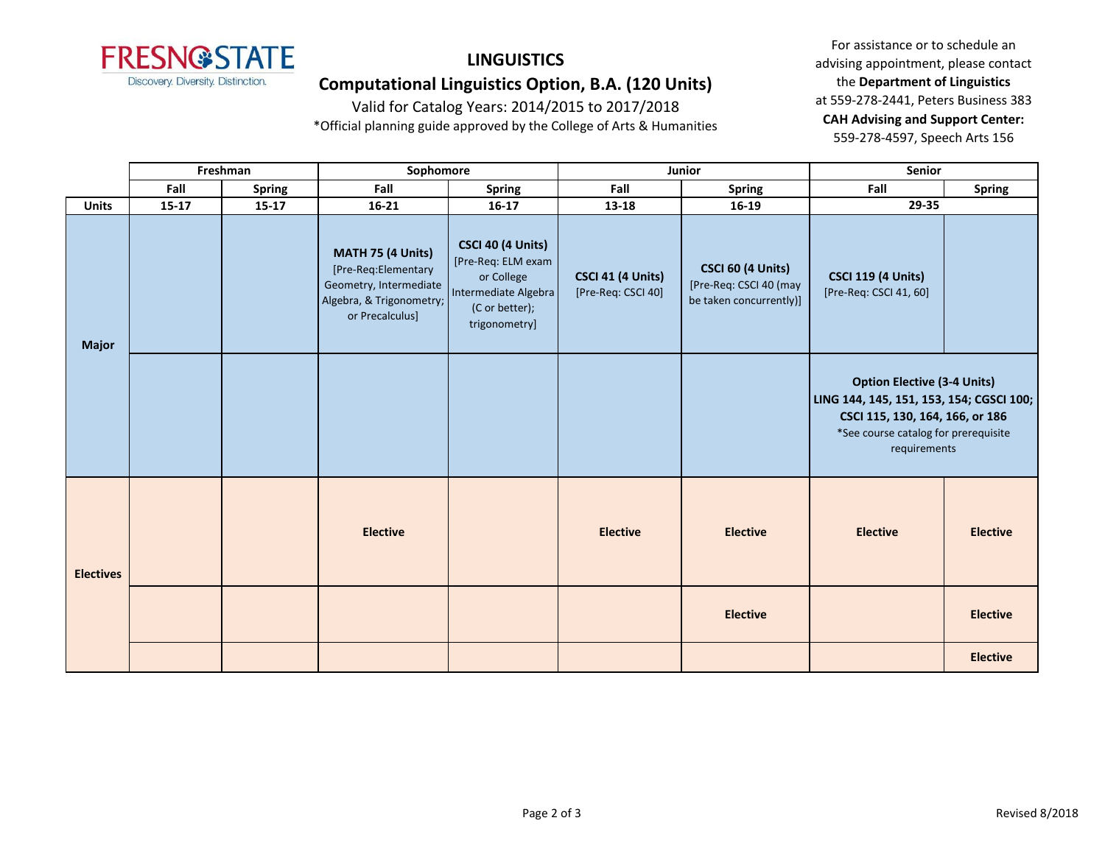

# **LINGUISTICS**

## **Computational Linguistics Option, B.A. (120 Units)**

Valid for Catalog Years: 2014/2015 to 2017/2018

\*Official planning guide approved by the College of Arts & Humanities

For assistance or to schedule an advising appointment, please contact the **Department of Linguistics** at 559-278-2441, Peters Business 383 **CAH Advising and Support Center:**  559-278-4597, Speech Arts 156

|                  | Freshman  |               | Sophomore                                                                                                         |                                                                                                                         | Junior                                  |                                                                               | Senior                                                                                                                                                                    |                 |
|------------------|-----------|---------------|-------------------------------------------------------------------------------------------------------------------|-------------------------------------------------------------------------------------------------------------------------|-----------------------------------------|-------------------------------------------------------------------------------|---------------------------------------------------------------------------------------------------------------------------------------------------------------------------|-----------------|
|                  | Fall      | <b>Spring</b> | Fall                                                                                                              | <b>Spring</b>                                                                                                           | Fall                                    | <b>Spring</b>                                                                 | Fall                                                                                                                                                                      | <b>Spring</b>   |
| <b>Units</b>     | $15 - 17$ | $15 - 17$     | $16 - 21$                                                                                                         | $16 - 17$                                                                                                               | 13-18                                   | 16-19                                                                         | 29-35                                                                                                                                                                     |                 |
| <b>Major</b>     |           |               | MATH 75 (4 Units)<br>[Pre-Req:Elementary<br>Geometry, Intermediate<br>Algebra, & Trigonometry;<br>or Precalculus] | <b>CSCI 40 (4 Units)</b><br>[Pre-Req: ELM exam<br>or College<br>Intermediate Algebra<br>(C or better);<br>trigonometry] | CSCI 41 (4 Units)<br>[Pre-Req: CSCI 40] | <b>CSCI 60 (4 Units)</b><br>[Pre-Req: CSCI 40 (may<br>be taken concurrently)] | <b>CSCI 119 (4 Units)</b><br>[Pre-Req: CSCI 41, 60]                                                                                                                       |                 |
|                  |           |               |                                                                                                                   |                                                                                                                         |                                         |                                                                               | <b>Option Elective (3-4 Units)</b><br>LING 144, 145, 151, 153, 154; CGSCI 100;<br>CSCI 115, 130, 164, 166, or 186<br>*See course catalog for prerequisite<br>requirements |                 |
| <b>Electives</b> |           |               | <b>Elective</b>                                                                                                   |                                                                                                                         | <b>Elective</b>                         | <b>Elective</b>                                                               | <b>Elective</b>                                                                                                                                                           | <b>Elective</b> |
|                  |           |               |                                                                                                                   |                                                                                                                         |                                         | <b>Elective</b>                                                               |                                                                                                                                                                           | <b>Elective</b> |
|                  |           |               |                                                                                                                   |                                                                                                                         |                                         |                                                                               |                                                                                                                                                                           | <b>Elective</b> |